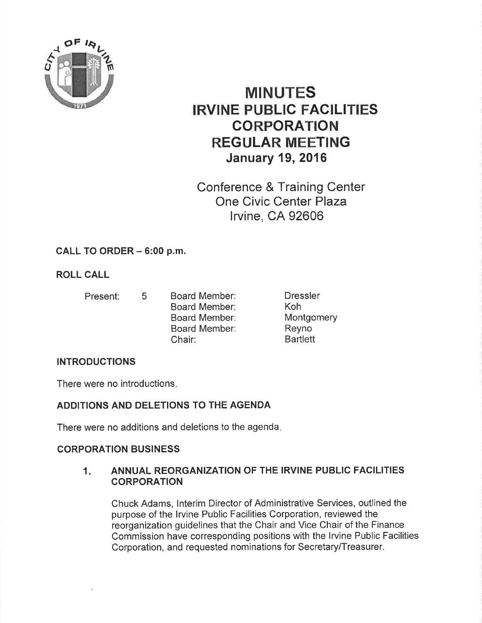

# MINUTES IRVINE PUBLIC FACILITIES CORPORATION REGULAR MEETING January 19, 2016

Conference & Training Center One Civic Center Plaza lrvine, CA 92606

# CALL TO ORDER - 6:00 p.m.

# ROLL CALL

- Present: <sup>5</sup>
- Board Member: Board Member: Board Member: Board Member: Chair:
- Dressler Koh Montgomery Reyno **Bartlett**

## INTRODUCTIONS

There were no introductions

# ADDITIONS AND DELETIONS TO THE AGENDA

There were no additions and deletions to the agenda

## CORPORATION BUSINESS

#### ANNUAL REORGANIZATION OF THE IRVINE PUBLIC FACILITIES **CORPORATION**  $1<sub>1</sub>$

Chuck Adams, lnterim Director of Administrative Services, outlined the purpose of the lrvine Public Facilities Corporation, reviewed the reorganization guidelines that the Chair and Vice Chair of the Finance Commission have corresponding positions with the lrvine Public Facilities Corporation, and requested nominations for Secretary/Treasurer.